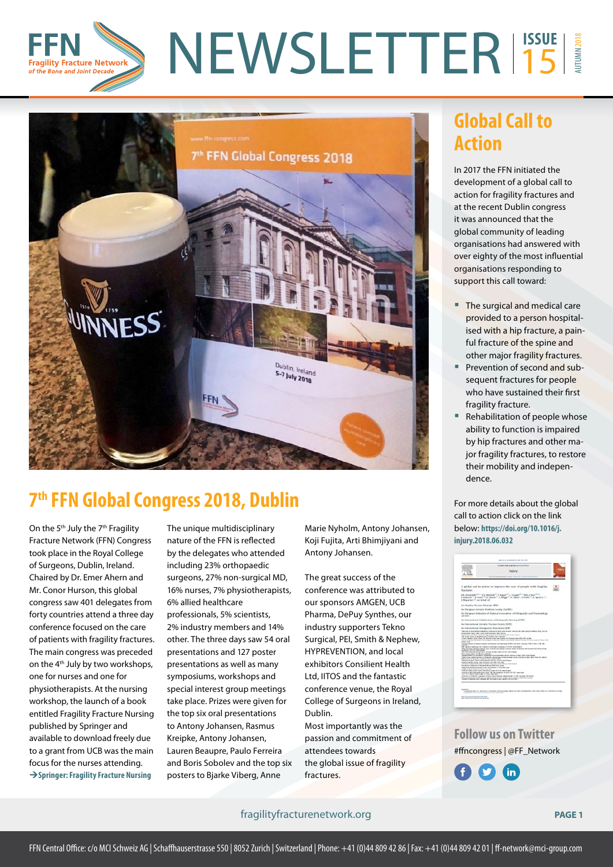



# **7th FFN Global Congress 2018, Dublin**

On the 5<sup>th</sup> July the 7<sup>th</sup> Fragility Fracture Network (FFN) Congress took place in the Royal College of Surgeons, Dublin, Ireland. Chaired by Dr. Emer Ahern and Mr. Conor Hurson, this global congress saw 401 delegates from forty countries attend a three day conference focused on the care of patients with fragility fractures. The main congress was preceded on the 4th July by two workshops, one for nurses and one for physiotherapists. At the nursing workshop, the launch of a book entitled Fragility Fracture Nursing published by Springer and available to download freely due to a grant from UCB was the main focus for the nurses attending. **[Springer: Fragility Fracture Nursing](https://rd.springer.com/book/10.1007/978-3-319-76681-2)**

The unique multidisciplinary nature of the FFN is reflected by the delegates who attended including 23% orthopaedic surgeons, 27% non-surgical MD, 16% nurses, 7% physiotherapists, 6% allied healthcare professionals, 5% scientists, 2% industry members and 14% other. The three days saw 54 oral presentations and 127 poster presentations as well as many symposiums, workshops and special interest group meetings take place. Prizes were given for the top six oral presentations to Antony Johansen, Rasmus Kreipke, Antony Johansen, Lauren Beaupre, Paulo Ferreira and Boris Sobolev and the top six posters to Bjarke Viberg, Anne

Marie Nyholm, Antony Johansen, Koji Fujita, Arti Bhimjiyani and Antony Johansen.

The great success of the conference was attributed to our sponsors AMGEN, UCB Pharma, DePuy Synthes, our industry supporters Tekno Surgical, PEI, Smith & Nephew, HYPREVENTION, and local exhibitors Consilient Health Ltd, IITOS and the fantastic conference venue, the Royal College of Surgeons in Ireland, Dublin.

Most importantly was the passion and commitment of attendees towards the global issue of fragility fractures.

## **Global Call to Action**

In 2017 the FFN initiated the development of a global call to action for fragility fractures and at the recent Dublin congress it was announced that the global community of leading organisations had answered with over eighty of the most influential organisations responding to support this call toward:

- The surgical and medical care provided to a person hospitalised with a hip fracture, a painful fracture of the spine and other major fragility fractures.
- **Prevention of second and sub**sequent fractures for people who have sustained their first fragility fracture.
- Rehabilitation of people whose ability to function is impaired by hip fractures and other major fragility fractures, to restore their mobility and independence.

For more details about the global call to action click on the link below: **[https://doi.org/10.1016/j.](https://doi.org/10.1016/j.injury.2018.06.032) [injury.2018.06.032](https://doi.org/10.1016/j.injury.2018.06.032)**



**Follow us on Twitter** #ffncongress | @FF\_Network



#### fragilityfracturenetwork.org **PAGE 1**